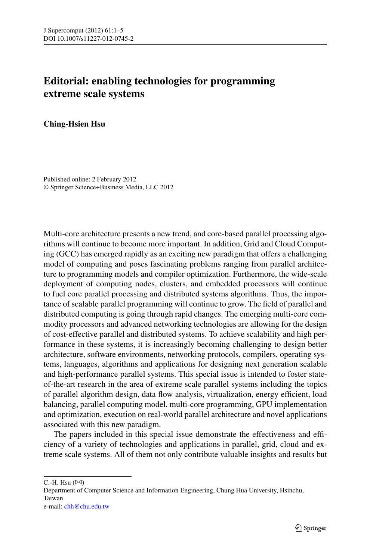## **Editorial: enabling technologies for programming extreme scale systems**

## **Ching-Hsien Hsu**

Published online: 2 February 2012 © Springer Science+Business Media, LLC 2012

Multi-core architecture presents a new trend, and core-based parallel processing algorithms will continue to become more important. In addition, Grid and Cloud Computing (GCC) has emerged rapidly as an exciting new paradigm that offers a challenging model of computing and poses fascinating problems ranging from parallel architecture to programming models and compiler optimization. Furthermore, the wide-scale deployment of computing nodes, clusters, and embedded processors will continue to fuel core parallel processing and distributed systems algorithms. Thus, the importance of scalable parallel programming will continue to grow. The field of parallel and distributed computing is going through rapid changes. The emerging multi-core commodity processors and advanced networking technologies are allowing for the design of cost-effective parallel and distributed systems. To achieve scalability and high performance in these systems, it is increasingly becoming challenging to design better architecture, software environments, networking protocols, compilers, operating systems, languages, algorithms and applications for designing next generation scalable and high-performance parallel systems. This special issue is intended to foster stateof-the-art research in the area of extreme scale parallel systems including the topics of parallel algorithm design, data flow analysis, virtualization, energy efficient, load balancing, parallel computing model, multi-core programming, GPU implementation and optimization, execution on real-world parallel architecture and novel applications associated with this new paradigm.

The papers included in this special issue demonstrate the effectiveness and efficiency of a variety of technologies and applications in parallel, grid, cloud and extreme scale systems. All of them not only contribute valuable insights and results but

 $C.-H.$  Hsu  $(\boxtimes)$ 

Department of Computer Science and Information Engineering, Chung Hua University, Hsinchu, Taiwan e-mail: [chh@chu.edu.tw](mailto:chh@chu.edu.tw)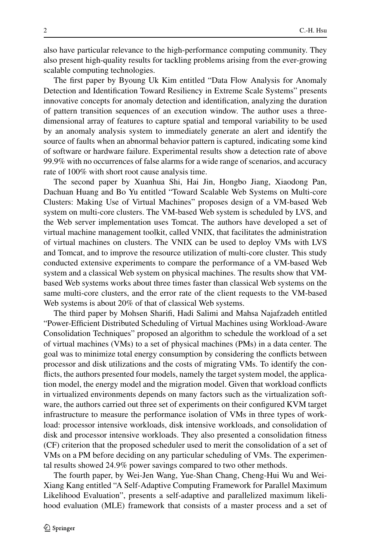also have particular relevance to the high-performance computing community. They also present high-quality results for tackling problems arising from the ever-growing scalable computing technologies.

The first paper by Byoung Uk Kim entitled "Data Flow Analysis for Anomaly Detection and Identification Toward Resiliency in Extreme Scale Systems" presents innovative concepts for anomaly detection and identification, analyzing the duration of pattern transition sequences of an execution window. The author uses a threedimensional array of features to capture spatial and temporal variability to be used by an anomaly analysis system to immediately generate an alert and identify the source of faults when an abnormal behavior pattern is captured, indicating some kind of software or hardware failure. Experimental results show a detection rate of above 99.9% with no occurrences of false alarms for a wide range of scenarios, and accuracy rate of 100% with short root cause analysis time.

The second paper by Xuanhua Shi, Hai Jin, Hongbo Jiang, Xiaodong Pan, Dachuan Huang and Bo Yu entitled "Toward Scalable Web Systems on Multi-core Clusters: Making Use of Virtual Machines" proposes design of a VM-based Web system on multi-core clusters. The VM-based Web system is scheduled by LVS, and the Web server implementation uses Tomcat. The authors have developed a set of virtual machine management toolkit, called VNIX, that facilitates the administration of virtual machines on clusters. The VNIX can be used to deploy VMs with LVS and Tomcat, and to improve the resource utilization of multi-core cluster. This study conducted extensive experiments to compare the performance of a VM-based Web system and a classical Web system on physical machines. The results show that VMbased Web systems works about three times faster than classical Web systems on the same multi-core clusters, and the error rate of the client requests to the VM-based Web systems is about 20% of that of classical Web systems.

The third paper by Mohsen Sharifi, Hadi Salimi and Mahsa Najafzadeh entitled "Power-Efficient Distributed Scheduling of Virtual Machines using Workload-Aware Consolidation Techniques" proposed an algorithm to schedule the workload of a set of virtual machines (VMs) to a set of physical machines (PMs) in a data center. The goal was to minimize total energy consumption by considering the conflicts between processor and disk utilizations and the costs of migrating VMs. To identify the conflicts, the authors presented four models, namely the target system model, the application model, the energy model and the migration model. Given that workload conflicts in virtualized environments depends on many factors such as the virtualization software, the authors carried out three set of experiments on their configured KVM target infrastructure to measure the performance isolation of VMs in three types of workload: processor intensive workloads, disk intensive workloads, and consolidation of disk and processor intensive workloads. They also presented a consolidation fitness (CF) criterion that the proposed scheduler used to merit the consolidation of a set of VMs on a PM before deciding on any particular scheduling of VMs. The experimental results showed 24.9% power savings compared to two other methods.

The fourth paper, by Wei-Jen Wang, Yue-Shan Chang, Cheng-Hui Wu and Wei-Xiang Kang entitled "A Self-Adaptive Computing Framework for Parallel Maximum Likelihood Evaluation", presents a self-adaptive and parallelized maximum likelihood evaluation (MLE) framework that consists of a master process and a set of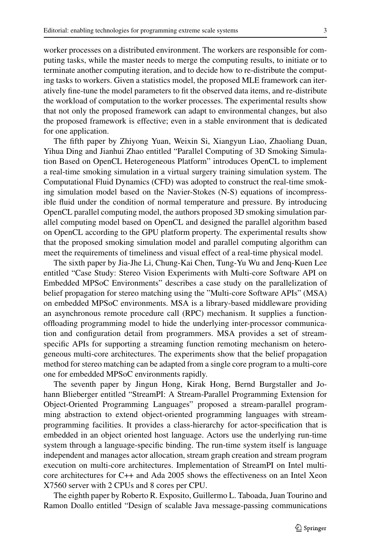worker processes on a distributed environment. The workers are responsible for computing tasks, while the master needs to merge the computing results, to initiate or to terminate another computing iteration, and to decide how to re-distribute the computing tasks to workers. Given a statistics model, the proposed MLE framework can iteratively fine-tune the model parameters to fit the observed data items, and re-distribute the workload of computation to the worker processes. The experimental results show that not only the proposed framework can adapt to environmental changes, but also the proposed framework is effective; even in a stable environment that is dedicated for one application.

The fifth paper by Zhiyong Yuan, Weixin Si, Xiangyun Liao, Zhaoliang Duan, Yihua Ding and Jianhui Zhao entitled "Parallel Computing of 3D Smoking Simulation Based on OpenCL Heterogeneous Platform" introduces OpenCL to implement a real-time smoking simulation in a virtual surgery training simulation system. The Computational Fluid Dynamics (CFD) was adopted to construct the real-time smoking simulation model based on the Navier-Stokes (N-S) equations of incompressible fluid under the condition of normal temperature and pressure. By introducing OpenCL parallel computing model, the authors proposed 3D smoking simulation parallel computing model based on OpenCL and designed the parallel algorithm based on OpenCL according to the GPU platform property. The experimental results show that the proposed smoking simulation model and parallel computing algorithm can meet the requirements of timeliness and visual effect of a real-time physical model.

The sixth paper by Jia-Jhe Li, Chung-Kai Chen, Tung-Yu Wu and Jenq-Kuen Lee entitled "Case Study: Stereo Vision Experiments with Multi-core Software API on Embedded MPSoC Environments" describes a case study on the parallelization of belief propagation for stereo matching using the "Multi-core Software APIs" (MSA) on embedded MPSoC environments. MSA is a library-based middleware providing an asynchronous remote procedure call (RPC) mechanism. It supplies a functionoffloading programming model to hide the underlying inter-processor communication and configuration detail from programmers. MSA provides a set of streamspecific APIs for supporting a streaming function remoting mechanism on heterogeneous multi-core architectures. The experiments show that the belief propagation method for stereo matching can be adapted from a single core program to a multi-core one for embedded MPSoC environments rapidly.

The seventh paper by Jingun Hong, Kirak Hong, Bernd Burgstaller and Johann Blieberger entitled "StreamPI: A Stream-Parallel Programming Extension for Object-Oriented Programming Languages" proposed a stream-parallel programming abstraction to extend object-oriented programming languages with streamprogramming facilities. It provides a class-hierarchy for actor-specification that is embedded in an object oriented host language. Actors use the underlying run-time system through a language-specific binding. The run-time system itself is language independent and manages actor allocation, stream graph creation and stream program execution on multi-core architectures. Implementation of StreamPI on Intel multicore architectures for C++ and Ada 2005 shows the effectiveness on an Intel Xeon X7560 server with 2 CPUs and 8 cores per CPU.

The eighth paper by Roberto R. Exposito, Guillermo L. Taboada, Juan Tourino and Ramon Doallo entitled "Design of scalable Java message-passing communications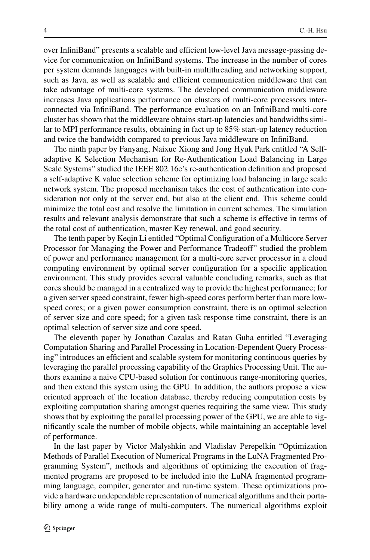over InfiniBand" presents a scalable and efficient low-level Java message-passing device for communication on InfiniBand systems. The increase in the number of cores per system demands languages with built-in multithreading and networking support, such as Java, as well as scalable and efficient communication middleware that can take advantage of multi-core systems. The developed communication middleware increases Java applications performance on clusters of multi-core processors interconnected via InfiniBand. The performance evaluation on an InfiniBand multi-core cluster has shown that the middleware obtains start-up latencies and bandwidths similar to MPI performance results, obtaining in fact up to 85% start-up latency reduction and twice the bandwidth compared to previous Java middleware on InfiniBand.

The ninth paper by Fanyang, Naixue Xiong and Jong Hyuk Park entitled "A Selfadaptive K Selection Mechanism for Re-Authentication Load Balancing in Large Scale Systems" studied the IEEE 802.16e's re-authentication definition and proposed a self-adaptive K value selection scheme for optimizing load balancing in large scale network system. The proposed mechanism takes the cost of authentication into consideration not only at the server end, but also at the client end. This scheme could minimize the total cost and resolve the limitation in current schemes. The simulation results and relevant analysis demonstrate that such a scheme is effective in terms of the total cost of authentication, master Key renewal, and good security.

The tenth paper by Keqin Li entitled "Optimal Configuration of a Multicore Server Processor for Managing the Power and Performance Tradeoff" studied the problem of power and performance management for a multi-core server processor in a cloud computing environment by optimal server configuration for a specific application environment. This study provides several valuable concluding remarks, such as that cores should be managed in a centralized way to provide the highest performance; for a given server speed constraint, fewer high-speed cores perform better than more lowspeed cores; or a given power consumption constraint, there is an optimal selection of server size and core speed; for a given task response time constraint, there is an optimal selection of server size and core speed.

The eleventh paper by Jonathan Cazalas and Ratan Guha entitled "Leveraging Computation Sharing and Parallel Processing in Location-Dependent Query Processing" introduces an efficient and scalable system for monitoring continuous queries by leveraging the parallel processing capability of the Graphics Processing Unit. The authors examine a naive CPU-based solution for continuous range-monitoring queries, and then extend this system using the GPU. In addition, the authors propose a view oriented approach of the location database, thereby reducing computation costs by exploiting computation sharing amongst queries requiring the same view. This study shows that by exploiting the parallel processing power of the GPU, we are able to significantly scale the number of mobile objects, while maintaining an acceptable level of performance.

In the last paper by Victor Malyshkin and Vladislav Perepelkin "Optimization Methods of Parallel Execution of Numerical Programs in the LuNA Fragmented Programming System", methods and algorithms of optimizing the execution of fragmented programs are proposed to be included into the LuNA fragmented programming language, compiler, generator and run-time system. These optimizations provide a hardware undependable representation of numerical algorithms and their portability among a wide range of multi-computers. The numerical algorithms exploit